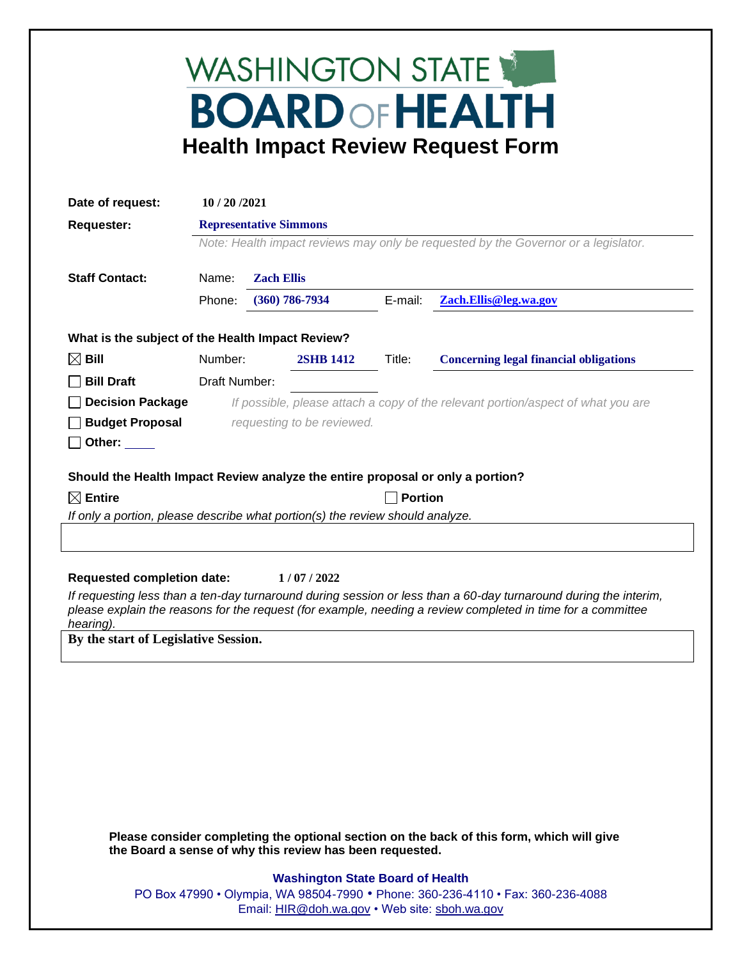## WASHINGTON STATE **BOARD OF HEALTH Health Impact Review Request Form**

| Date of request:                                                                                                                                                                                                                                                                                                                       | 10 / 20 / 2021                                                                                                             |  |                            |         |                                                                                           |  |
|----------------------------------------------------------------------------------------------------------------------------------------------------------------------------------------------------------------------------------------------------------------------------------------------------------------------------------------|----------------------------------------------------------------------------------------------------------------------------|--|----------------------------|---------|-------------------------------------------------------------------------------------------|--|
| <b>Requester:</b>                                                                                                                                                                                                                                                                                                                      | <b>Representative Simmons</b><br>Note: Health impact reviews may only be requested by the Governor or a legislator.        |  |                            |         |                                                                                           |  |
|                                                                                                                                                                                                                                                                                                                                        |                                                                                                                            |  |                            |         |                                                                                           |  |
| <b>Staff Contact:</b>                                                                                                                                                                                                                                                                                                                  | Name:                                                                                                                      |  | <b>Zach Ellis</b>          |         |                                                                                           |  |
|                                                                                                                                                                                                                                                                                                                                        | Phone:                                                                                                                     |  | $(360)$ 786-7934           | E-mail: | Zach.Ellis@leg.wa.gov                                                                     |  |
| What is the subject of the Health Impact Review?                                                                                                                                                                                                                                                                                       |                                                                                                                            |  |                            |         |                                                                                           |  |
| $\boxtimes$ Bill                                                                                                                                                                                                                                                                                                                       | Number:                                                                                                                    |  | Title:<br><b>2SHB 1412</b> |         | <b>Concerning legal financial obligations</b>                                             |  |
| <b>Bill Draft</b>                                                                                                                                                                                                                                                                                                                      | Draft Number:                                                                                                              |  |                            |         |                                                                                           |  |
|                                                                                                                                                                                                                                                                                                                                        |                                                                                                                            |  |                            |         |                                                                                           |  |
| <b>Decision Package</b>                                                                                                                                                                                                                                                                                                                | If possible, please attach a copy of the relevant portion/aspect of what you are                                           |  |                            |         |                                                                                           |  |
| <b>Budget Proposal</b><br>Other:                                                                                                                                                                                                                                                                                                       | requesting to be reviewed.                                                                                                 |  |                            |         |                                                                                           |  |
|                                                                                                                                                                                                                                                                                                                                        |                                                                                                                            |  |                            |         |                                                                                           |  |
| Should the Health Impact Review analyze the entire proposal or only a portion?                                                                                                                                                                                                                                                         |                                                                                                                            |  |                            |         |                                                                                           |  |
| $\boxtimes$ Entire                                                                                                                                                                                                                                                                                                                     | <b>Portion</b>                                                                                                             |  |                            |         |                                                                                           |  |
| If only a portion, please describe what portion(s) the review should analyze.                                                                                                                                                                                                                                                          |                                                                                                                            |  |                            |         |                                                                                           |  |
|                                                                                                                                                                                                                                                                                                                                        |                                                                                                                            |  |                            |         |                                                                                           |  |
| <b>Requested completion date:</b><br>1/07/2022<br>If requesting less than a ten-day turnaround during session or less than a 60-day turnaround during the interim,<br>please explain the reasons for the request (for example, needing a review completed in time for a committee<br>hearing).<br>By the start of Legislative Session. |                                                                                                                            |  |                            |         |                                                                                           |  |
|                                                                                                                                                                                                                                                                                                                                        |                                                                                                                            |  |                            |         |                                                                                           |  |
| the Board a sense of why this review has been requested.                                                                                                                                                                                                                                                                               |                                                                                                                            |  |                            |         | Please consider completing the optional section on the back of this form, which will give |  |
|                                                                                                                                                                                                                                                                                                                                        |                                                                                                                            |  |                            |         |                                                                                           |  |
|                                                                                                                                                                                                                                                                                                                                        | <b>Washington State Board of Health</b><br>PO Box 47990 • Olympia, WA 98504-7990 • Phone: 360-236-4110 • Fax: 360-236-4088 |  |                            |         |                                                                                           |  |
|                                                                                                                                                                                                                                                                                                                                        | Email: HIR@doh.wa.gov • Web site: sboh.wa.gov                                                                              |  |                            |         |                                                                                           |  |